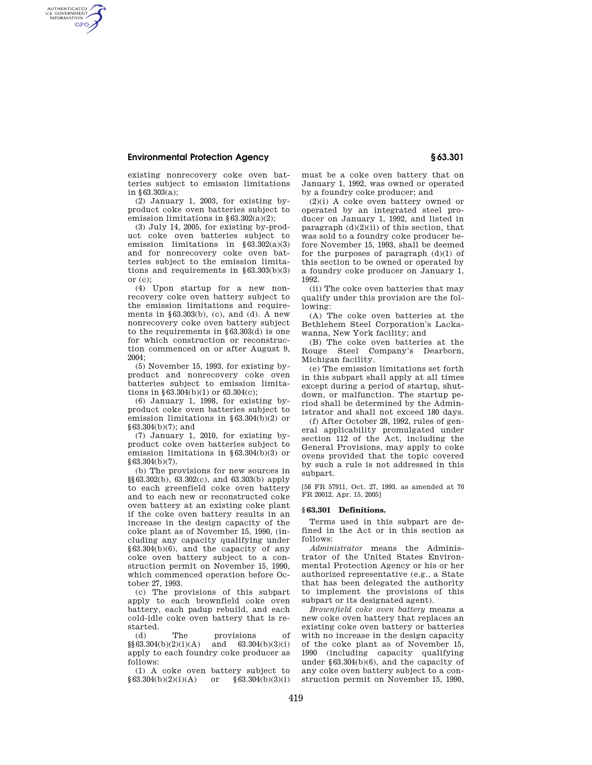## **Environmental Protection Agency § 63.301**

AUTHENTICATED<br>U.S. GOVERNMENT<br>INFORMATION **GPO** 

> existing nonrecovery coke oven batteries subject to emission limitations in  $63.303(a)$ ;

> (2) January 1, 2003, for existing byproduct coke oven batteries subject to emission limitations in §63.302(a)(2);

> (3) July 14, 2005, for existing by-product coke oven batteries subject to emission limitations in §63.302(a)(3) and for nonrecovery coke oven batteries subject to the emission limitations and requirements in §63.303(b)(3)  $or (c)$ ;

> (4) Upon startup for a new nonrecovery coke oven battery subject to the emission limitations and requirements in §63.303(b), (c), and (d). A new nonrecovery coke oven battery subject to the requirements in §63.303(d) is one for which construction or reconstruction commenced on or after August 9, 2004;

> (5) November 15, 1993, for existing byproduct and nonrecovery coke oven batteries subject to emission limitations in §63.304(b)(1) or 63.304(c);

> (6) January 1, 1998, for existing byproduct coke oven batteries subject to emission limitations in §63.304(b)(2) or §63.304(b)(7); and

> (7) January 1, 2010, for existing byproduct coke oven batteries subject to emission limitations in §63.304(b)(3) or §63.304(b)(7).

> (b) The provisions for new sources in §§63.302(b), 63.302(c), and 63.303(b) apply to each greenfield coke oven battery and to each new or reconstructed coke oven battery at an existing coke plant if the coke oven battery results in an increase in the design capacity of the coke plant as of November 15, 1990, (including any capacity qualifying under §63.304(b)(6), and the capacity of any coke oven battery subject to a construction permit on November 15, 1990, which commenced operation before October 27, 1993.

> (c) The provisions of this subpart apply to each brownfield coke oven battery, each padup rebuild, and each cold-idle coke oven battery that is restarted.

> (d) The provisions of  $\S(63.304(b)(2)(i)(A)$  and  $S(3.304(b)(3)(i))$ and  $63.304(b)(3)(i)$ apply to each foundry coke producer as follows:

(1) A coke oven battery subject to<br> $33.304(b)(2)(i)(A)$  or  $\S 63.304(b)(3)(i)$  $§ 63.304(b)(2)(i)(A)$ 

must be a coke oven battery that on January 1, 1992, was owned or operated by a foundry coke producer; and

(2)(i) A coke oven battery owned or operated by an integrated steel producer on January 1, 1992, and listed in paragraph (d)(2)(ii) of this section, that was sold to a foundry coke producer before November 15, 1993, shall be deemed for the purposes of paragraph  $(d)(1)$  of this section to be owned or operated by a foundry coke producer on January 1, 1992.

(ii) The coke oven batteries that may qualify under this provision are the following:

(A) The coke oven batteries at the Bethlehem Steel Corporation's Lackawanna, New York facility; and

(B) The coke oven batteries at the Rouge Steel Company's Dearborn, Michigan facility.

(e) The emission limitations set forth in this subpart shall apply at all times except during a period of startup, shutdown, or malfunction. The startup period shall be determined by the Administrator and shall not exceed 180 days.

(f) After October 28, 1992, rules of general applicability promulgated under section 112 of the Act, including the General Provisions, may apply to coke ovens provided that the topic covered by such a rule is not addressed in this subpart.

[58 FR 57911, Oct. 27, 1993, as amended at 70 FR 20012, Apr. 15, 2005]

## **§ 63.301 Definitions.**

Terms used in this subpart are defined in the Act or in this section as follows:

*Administrator* means the Administrator of the United States Environmental Protection Agency or his or her authorized representative (e.g., a State that has been delegated the authority to implement the provisions of this subpart or its designated agent).

*Brownfield coke oven battery* means a new coke oven battery that replaces an existing coke oven battery or batteries with no increase in the design capacity of the coke plant as of November 15, 1990 (including capacity qualifying under §63.304(b)(6), and the capacity of any coke oven battery subject to a construction permit on November 15, 1990,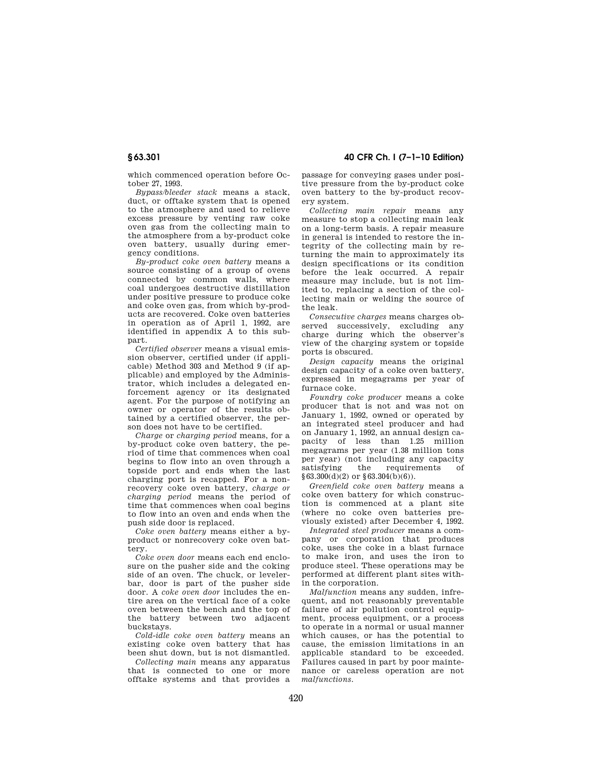which commenced operation before October 27, 1993.

*Bypass/bleeder stack* means a stack, duct, or offtake system that is opened to the atmosphere and used to relieve excess pressure by venting raw coke oven gas from the collecting main to the atmosphere from a by-product coke oven battery, usually during emergency conditions.

*By-product coke oven battery* means a source consisting of a group of ovens connected by common walls, where coal undergoes destructive distillation under positive pressure to produce coke and coke oven gas, from which by-products are recovered. Coke oven batteries in operation as of April 1, 1992, are identified in appendix A to this subpart.

*Certified observer* means a visual emission observer, certified under (if applicable) Method 303 and Method 9 (if applicable) and employed by the Administrator, which includes a delegated enforcement agency or its designated agent. For the purpose of notifying an owner or operator of the results obtained by a certified observer, the person does not have to be certified.

*Charge* or *charging period* means, for a by-product coke oven battery, the period of time that commences when coal begins to flow into an oven through a topside port and ends when the last charging port is recapped. For a nonrecovery coke oven battery, *charge or charging period* means the period of time that commences when coal begins to flow into an oven and ends when the push side door is replaced.

*Coke oven battery* means either a byproduct or nonrecovery coke oven battery.

*Coke oven door* means each end enclosure on the pusher side and the coking side of an oven. The chuck, or levelerbar, door is part of the pusher side door. A *coke oven door* includes the entire area on the vertical face of a coke oven between the bench and the top of the battery between two adjacent buckstays.

*Cold-idle coke oven battery* means an existing coke oven battery that has been shut down, but is not dismantled.

*Collecting main* means any apparatus that is connected to one or more offtake systems and that provides a

**§ 63.301 40 CFR Ch. I (7–1–10 Edition)** 

passage for conveying gases under positive pressure from the by-product coke oven battery to the by-product recovery system.

*Collecting main repair* means any measure to stop a collecting main leak on a long-term basis. A repair measure in general is intended to restore the integrity of the collecting main by returning the main to approximately its design specifications or its condition before the leak occurred. A repair measure may include, but is not limited to, replacing a section of the collecting main or welding the source of the leak.

*Consecutive charges* means charges observed successively, excluding any charge during which the observer's view of the charging system or topside ports is obscured.

*Design capacity* means the original design capacity of a coke oven battery, expressed in megagrams per year of furnace coke.

*Foundry coke producer* means a coke producer that is not and was not on January 1, 1992, owned or operated by an integrated steel producer and had on January 1, 1992, an annual design capacity of less than 1.25 million megagrams per year (1.38 million tons per year) (not including any capacity<br>satisfying the requirements of satisfying the requirements of  $§63.300(d)(2)$  or  $§63.304(b)(6)$ .

*Greenfield coke oven battery* means a coke oven battery for which construction is commenced at a plant site (where no coke oven batteries previously existed) after December 4, 1992.

*Integrated steel producer* means a company or corporation that produces coke, uses the coke in a blast furnace to make iron, and uses the iron to produce steel. These operations may be performed at different plant sites within the corporation.

*Malfunction* means any sudden, infrequent, and not reasonably preventable failure of air pollution control equipment, process equipment, or a process to operate in a normal or usual manner which causes, or has the potential to cause, the emission limitations in an applicable standard to be exceeded. Failures caused in part by poor maintenance or careless operation are not *malfunctions.*